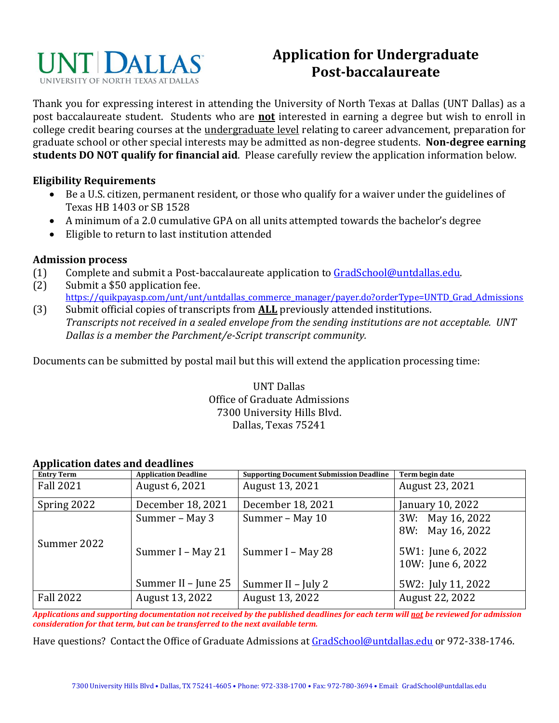

## **Application for Undergraduate Post-baccalaureate**

Thank you for expressing interest in attending the University of North Texas at Dallas (UNT Dallas) as a post baccalaureate student. Students who are **not** interested in earning a degree but wish to enroll in college credit bearing courses at the undergraduate level relating to career advancement, preparation for graduate school or other special interests may be admitted as non-degree students. **Non-degree earning students DO NOT qualify for financial aid**. Please carefully review the application information below.

## **Eligibility Requirements**

- Be a U.S. citizen, permanent resident, or those who qualify for a waiver under the guidelines of Texas HB 1403 or SB 1528
- A minimum of a 2.0 cumulative GPA on all units attempted towards the bachelor's degree
- Eligible to return to last institution attended

## **Admission process**

- (1) Complete and submit a Post-baccalaureate application t[o GradSchool@untdallas.edu.](mailto:GradSchool@untdallas.edu)
- (2) Submit a \$50 application fee. [https://quikpayasp.com/unt/unt/untdallas\\_commerce\\_manager/payer.do?orderType=UNTD\\_Grad\\_Admissions](https://nam04.safelinks.protection.outlook.com/?url=https%3A%2F%2Fquikpayasp.com%2Funt%2Funt%2Funtdallas_commerce_manager%2Fpayer.do%3ForderType%3DUNTD_Grad_Admissions&data=04%7C01%7CAlounda.Joseph%40untdallas.edu%7C7f0879b89c834fa230e108d9ab9eb863%7C70de199207c6480fa318a1afcba03983%7C0%7C0%7C637729520444567429%7CUnknown%7CTWFpbGZsb3d8eyJWIjoiMC4wLjAwMDAiLCJQIjoiV2luMzIiLCJBTiI6Ik1haWwiLCJXVCI6Mn0%3D%7C3000&sdata=uQ6qdKpboX68JKQjj9XFRvmik1577i%2FD94S7fO1dOG8%3D&reserved=0)
- (3) Submit official copies of transcripts from **ALL** previously attended institutions. *Transcripts not received in a sealed envelope from the sending institutions are not acceptable. UNT Dallas is a member the Parchment/e-Script transcript community.*

Documents can be submitted by postal mail but this will extend the application processing time:

UNT Dallas Office of Graduate Admissions 7300 University Hills Blvd. Dallas, Texas 75241

| пррисатон аатсо ана асаанноо |                             |                                                |                                        |  |  |  |  |  |
|------------------------------|-----------------------------|------------------------------------------------|----------------------------------------|--|--|--|--|--|
| <b>Entry Term</b>            | <b>Application Deadline</b> | <b>Supporting Document Submission Deadline</b> | Term begin date                        |  |  |  |  |  |
| <b>Fall 2021</b>             | August 6, 2021              | August 13, 2021                                | August 23, 2021                        |  |  |  |  |  |
| Spring 2022                  | December 18, 2021           | December 18, 2021                              | January 10, 2022                       |  |  |  |  |  |
| Summer 2022                  | Summer - May 3              | Summer - May 10                                | 3W: May 16, 2022<br>8W: May 16, 2022   |  |  |  |  |  |
|                              | Summer I - May 21           | Summer I - May 28                              | 5W1: June 6, 2022<br>10W: June 6, 2022 |  |  |  |  |  |
|                              | Summer II - June 25         | Summer II - July 2                             | 5W2: July 11, 2022                     |  |  |  |  |  |
| <b>Fall 2022</b>             | August 13, 2022             | August 13, 2022                                | August 22, 2022                        |  |  |  |  |  |

## **Application dates and deadlines**

*Applications and supporting documentation not received by the published deadlines for each term will not be reviewed for admission consideration for that term, but can be transferred to the next available term.*

Have questions? Contact the Office of Graduate Admissions a[t GradSchool@untdallas.edu](mailto:GradSchool@untdallas.edu) or 972-338-1746.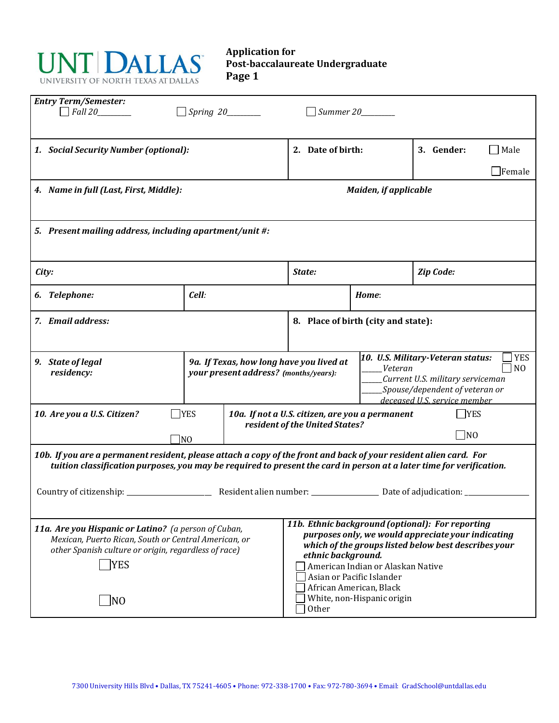

**Application for Post-baccalaureate Undergraduate Page 1**

| <b>Entry Term/Semester:</b><br>$\Box$ Fall 20<br>$\Box$ Spring 20________                                                                                                                                                                                                                                                                                                                                                                                                                                             |                                                                                   |                                                                                                                                                                                     |                    |                       |  |  |  |  |  |
|-----------------------------------------------------------------------------------------------------------------------------------------------------------------------------------------------------------------------------------------------------------------------------------------------------------------------------------------------------------------------------------------------------------------------------------------------------------------------------------------------------------------------|-----------------------------------------------------------------------------------|-------------------------------------------------------------------------------------------------------------------------------------------------------------------------------------|--------------------|-----------------------|--|--|--|--|--|
| 1. Social Security Number (optional):                                                                                                                                                                                                                                                                                                                                                                                                                                                                                 | 2. Date of birth:                                                                 |                                                                                                                                                                                     | 3. Gender:<br>Male |                       |  |  |  |  |  |
|                                                                                                                                                                                                                                                                                                                                                                                                                                                                                                                       |                                                                                   |                                                                                                                                                                                     |                    | $\blacksquare$ Female |  |  |  |  |  |
| 4. Name in full (Last, First, Middle):                                                                                                                                                                                                                                                                                                                                                                                                                                                                                |                                                                                   | <b>Maiden, if applicable</b>                                                                                                                                                        |                    |                       |  |  |  |  |  |
| 5. Present mailing address, including apartment/unit #:                                                                                                                                                                                                                                                                                                                                                                                                                                                               |                                                                                   |                                                                                                                                                                                     |                    |                       |  |  |  |  |  |
| City:                                                                                                                                                                                                                                                                                                                                                                                                                                                                                                                 |                                                                                   | State:                                                                                                                                                                              |                    | Zip Code:             |  |  |  |  |  |
| 6. Telephone:                                                                                                                                                                                                                                                                                                                                                                                                                                                                                                         | Cell:                                                                             |                                                                                                                                                                                     | Home:              |                       |  |  |  |  |  |
| 7. Email address:                                                                                                                                                                                                                                                                                                                                                                                                                                                                                                     | 8. Place of birth (city and state):                                               |                                                                                                                                                                                     |                    |                       |  |  |  |  |  |
| 9. State of legal<br>residency:                                                                                                                                                                                                                                                                                                                                                                                                                                                                                       | 9a. If Texas, how long have you lived at<br>your present address? (months/years): | 10. U.S. Military-Veteran status:<br><b>YES</b><br>N <sub>O</sub><br>_Veteran<br>Current U.S. military serviceman<br>Spouse/dependent of veteran or<br>deceased U.S. service member |                    |                       |  |  |  |  |  |
| 10. Are you a U.S. Citizen?                                                                                                                                                                                                                                                                                                                                                                                                                                                                                           | <b>TYES</b>                                                                       | <b>YES</b><br>10a. If not a U.S. citizen, are you a permanent<br>resident of the United States?                                                                                     |                    |                       |  |  |  |  |  |
|                                                                                                                                                                                                                                                                                                                                                                                                                                                                                                                       | $\Box$ NO                                                                         |                                                                                                                                                                                     |                    | $\blacksquare$ NO     |  |  |  |  |  |
| 10b. If you are a permanent resident, please attach a copy of the front and back of your resident alien card. For<br>tuition classification purposes, you may be required to present the card in person at a later time for verification.                                                                                                                                                                                                                                                                             |                                                                                   |                                                                                                                                                                                     |                    |                       |  |  |  |  |  |
| Country of citizenship: _                                                                                                                                                                                                                                                                                                                                                                                                                                                                                             |                                                                                   |                                                                                                                                                                                     |                    |                       |  |  |  |  |  |
| 11b. Ethnic background (optional): For reporting<br>11a. Are you Hispanic or Latino? (a person of Cuban,<br>purposes only, we would appreciate your indicating<br>Mexican, Puerto Rican, South or Central American, or<br>which of the groups listed below best describes your<br>other Spanish culture or origin, regardless of race)<br>ethnic background.<br><b>YES</b><br>American Indian or Alaskan Native<br>Asian or Pacific Islander<br>African American, Black<br>White, non-Hispanic origin<br> NO<br>Other |                                                                                   |                                                                                                                                                                                     |                    |                       |  |  |  |  |  |